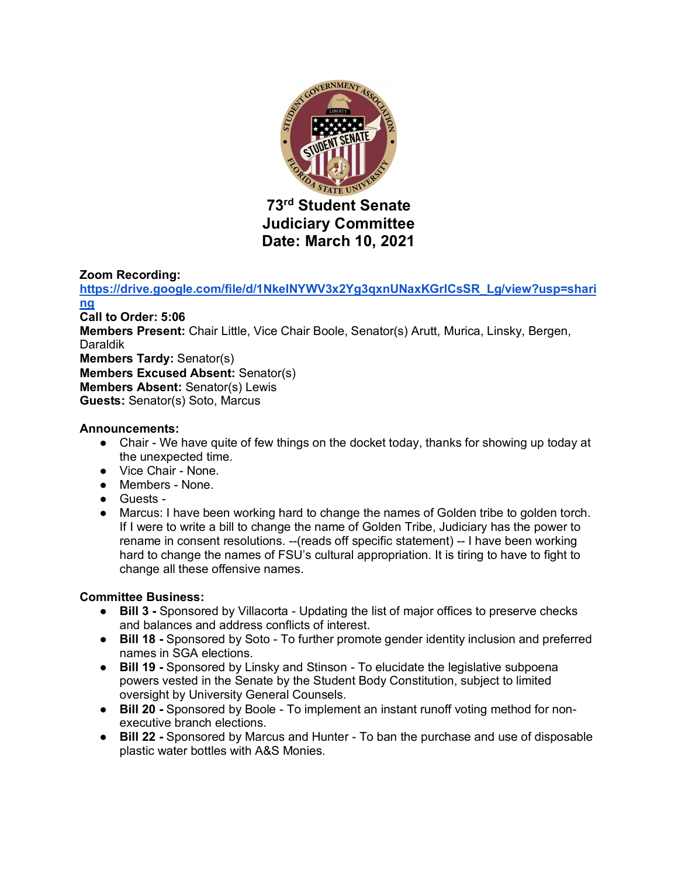

# **Judiciary Committee Date: March 10, 2021**

# **Zoom Recording:**

**https://drive.google.com/file/d/1NkeINYWV3x2Yg3qxnUNaxKGrICsSR\_Lg/view?usp=shari ng Call to Order: 5:06 Members Present:** Chair Little, Vice Chair Boole, Senator(s) Arutt, Murica, Linsky, Bergen, Daraldik **Members Tardy:** Senator(s) **Members Excused Absent:** Senator(s) **Members Absent:** Senator(s) Lewis **Guests:** Senator(s) Soto, Marcus

# **Announcements:**

- Chair We have quite of few things on the docket today, thanks for showing up today at the unexpected time.
- Vice Chair None.
- Members None.
- Guests -
- Marcus: I have been working hard to change the names of Golden tribe to golden torch. If I were to write a bill to change the name of Golden Tribe, Judiciary has the power to rename in consent resolutions. --(reads off specific statement) -- I have been working hard to change the names of FSU's cultural appropriation. It is tiring to have to fight to change all these offensive names.

# **Committee Business:**

- **Bill 3 -** Sponsored by Villacorta Updating the list of major offices to preserve checks and balances and address conflicts of interest.
- **Bill 18 -** Sponsored by Soto To further promote gender identity inclusion and preferred names in SGA elections.
- **Bill 19 -** Sponsored by Linsky and Stinson To elucidate the legislative subpoena powers vested in the Senate by the Student Body Constitution, subject to limited oversight by University General Counsels.
- **Bill 20 -** Sponsored by Boole To implement an instant runoff voting method for nonexecutive branch elections.
- **Bill 22 -** Sponsored by Marcus and Hunter To ban the purchase and use of disposable plastic water bottles with A&S Monies.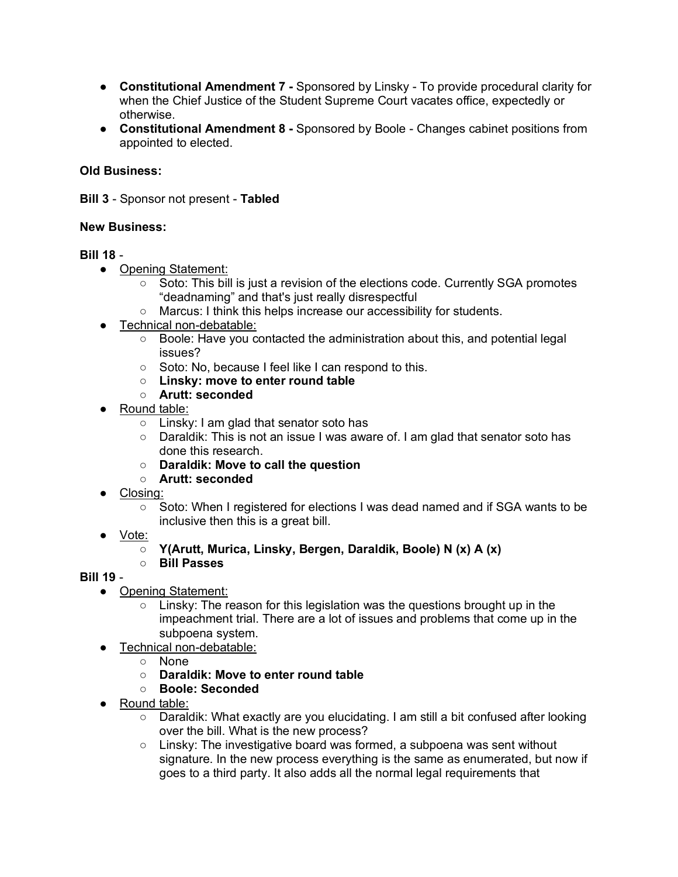- **Constitutional Amendment 7 -** Sponsored by Linsky To provide procedural clarity for when the Chief Justice of the Student Supreme Court vacates office, expectedly or otherwise.
- **Constitutional Amendment 8 -** Sponsored by Boole Changes cabinet positions from appointed to elected.

## **Old Business:**

**Bill 3** - Sponsor not present - **Tabled**

#### **New Business:**

## **Bill 18** -

- Opening Statement:
	- Soto: This bill is just a revision of the elections code. Currently SGA promotes "deadnaming" and that's just really disrespectful
	- Marcus: I think this helps increase our accessibility for students.
- Technical non-debatable:
	- Boole: Have you contacted the administration about this, and potential legal issues?
	- Soto: No, because I feel like I can respond to this.
	- **Linsky: move to enter round table**
	- **Arutt: seconded**
- Round table:
	- Linsky: I am glad that senator soto has
	- Daraldik: This is not an issue I was aware of. I am glad that senator soto has done this research.
	- **Daraldik: Move to call the question**
	- **Arutt: seconded**
- Closing:
	- Soto: When I registered for elections I was dead named and if SGA wants to be inclusive then this is a great bill.
- Vote:
	- **Y(Arutt, Murica, Linsky, Bergen, Daraldik, Boole) N (x) A (x)**
	- **Bill Passes**

# **Bill 19** -

- Opening Statement:
	- $\circ$  Linsky: The reason for this legislation was the questions brought up in the impeachment trial. There are a lot of issues and problems that come up in the subpoena system.
- Technical non-debatable:
	- None
	- **Daraldik: Move to enter round table**
	- **Boole: Seconded**
- Round table:
	- Daraldik: What exactly are you elucidating. I am still a bit confused after looking over the bill. What is the new process?
	- Linsky: The investigative board was formed, a subpoena was sent without signature. In the new process everything is the same as enumerated, but now if goes to a third party. It also adds all the normal legal requirements that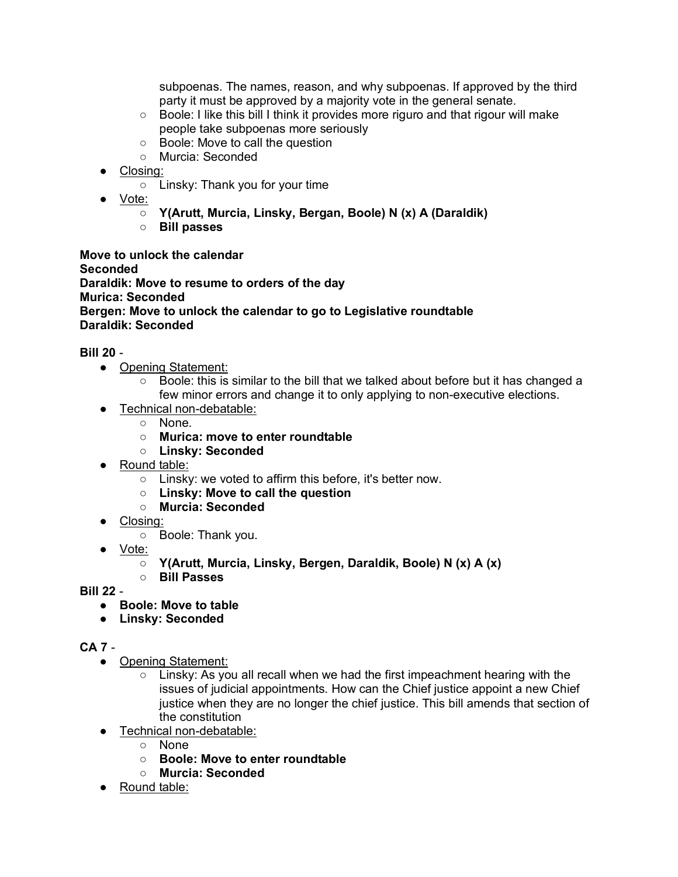subpoenas. The names, reason, and why subpoenas. If approved by the third party it must be approved by a majority vote in the general senate.

- Boole: I like this bill I think it provides more riguro and that rigour will make people take subpoenas more seriously
- Boole: Move to call the question
- Murcia: Seconded
- Closing:
	- Linsky: Thank you for your time
- Vote:
	- **Y(Arutt, Murcia, Linsky, Bergan, Boole) N (x) A (Daraldik)**
	- **Bill passes**

**Move to unlock the calendar Seconded Daraldik: Move to resume to orders of the day Murica: Seconded Bergen: Move to unlock the calendar to go to Legislative roundtable Daraldik: Seconded** 

**Bill 20** -

- Opening Statement:
	- Boole: this is similar to the bill that we talked about before but it has changed a few minor errors and change it to only applying to non-executive elections.
- Technical non-debatable:
	- None.
	- **Murica: move to enter roundtable**
	- **Linsky: Seconded**
- Round table:
	- Linsky: we voted to affirm this before, it's better now.
	- **Linsky: Move to call the question**
	- **Murcia: Seconded**
- Closing:
	- Boole: Thank you.
- Vote:
	- **Y(Arutt, Murcia, Linsky, Bergen, Daraldik, Boole) N (x) A (x)**
	- **Bill Passes**
- **Bill 22** 
	- **Boole: Move to table**
	- **Linsky: Seconded**

# **CA 7** -

- Opening Statement:
	- Linsky: As you all recall when we had the first impeachment hearing with the issues of judicial appointments. How can the Chief justice appoint a new Chief justice when they are no longer the chief justice. This bill amends that section of the constitution
- Technical non-debatable:
	- None
	- **Boole: Move to enter roundtable**
	- **Murcia: Seconded**
- Round table: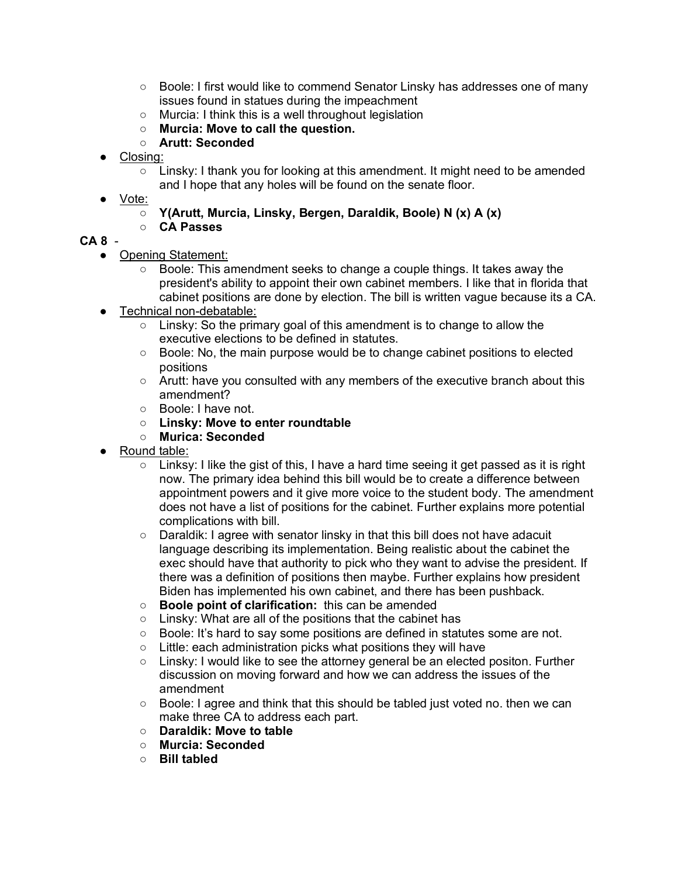- Boole: I first would like to commend Senator Linsky has addresses one of many issues found in statues during the impeachment
- Murcia: I think this is a well throughout legislation
- **Murcia: Move to call the question.**
- **Arutt: Seconded**
- Closing:
	- $\circ$  Linsky: I thank you for looking at this amendment. It might need to be amended and I hope that any holes will be found on the senate floor.
- Vote:

○ **Y(Arutt, Murcia, Linsky, Bergen, Daraldik, Boole) N (x) A (x)**

○ **CA Passes**

# **CA 8** -

- Opening Statement:
	- Boole: This amendment seeks to change a couple things. It takes away the president's ability to appoint their own cabinet members. I like that in florida that cabinet positions are done by election. The bill is written vague because its a CA.
- Technical non-debatable:
	- Linsky: So the primary goal of this amendment is to change to allow the executive elections to be defined in statutes.
	- Boole: No, the main purpose would be to change cabinet positions to elected positions
	- Arutt: have you consulted with any members of the executive branch about this amendment?
	- Boole: I have not.
	- **Linsky: Move to enter roundtable**
	- **Murica: Seconded**
- Round table:
	- $\circ$  Linksy: I like the gist of this, I have a hard time seeing it get passed as it is right now. The primary idea behind this bill would be to create a difference between appointment powers and it give more voice to the student body. The amendment does not have a list of positions for the cabinet. Further explains more potential complications with bill.
	- Daraldik: I agree with senator linsky in that this bill does not have adacuit language describing its implementation. Being realistic about the cabinet the exec should have that authority to pick who they want to advise the president. If there was a definition of positions then maybe. Further explains how president Biden has implemented his own cabinet, and there has been pushback.
	- **Boole point of clarification:** this can be amended
	- Linsky: What are all of the positions that the cabinet has
	- Boole: It's hard to say some positions are defined in statutes some are not.
	- Little: each administration picks what positions they will have
	- Linsky: I would like to see the attorney general be an elected positon. Further discussion on moving forward and how we can address the issues of the amendment
	- Boole: I agree and think that this should be tabled just voted no. then we can make three CA to address each part.
	- **Daraldik: Move to table**
	- **Murcia: Seconded**
	- **Bill tabled**